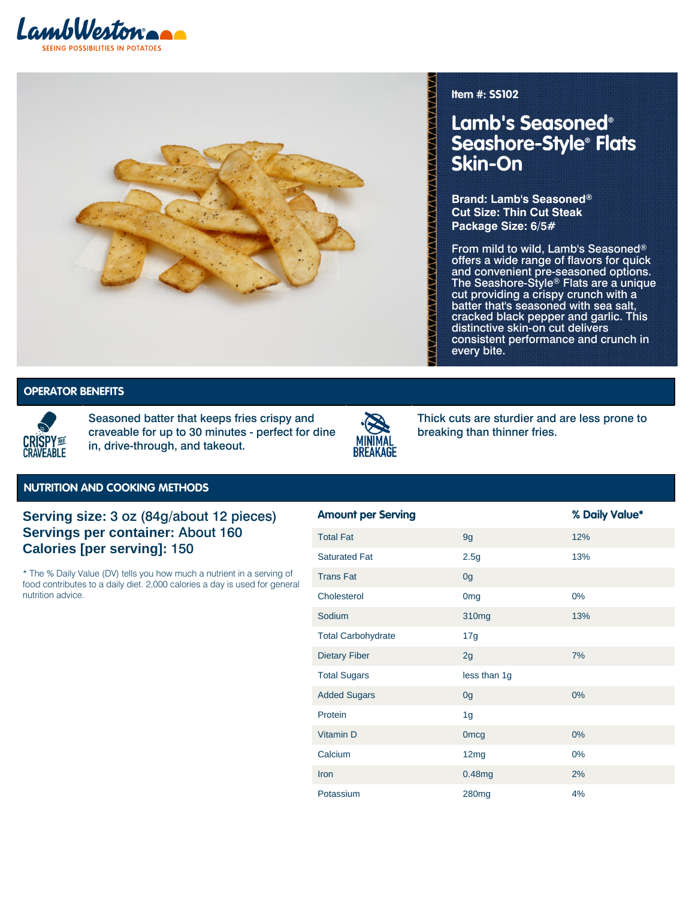



**Item #: SS102**

## **Lamb's Seasoned® Seashore-Style® Flats Skin-On**

**Brand: Lamb's Seasoned® Cut Size: Thin Cut Steak Package Size: 6/5#**

From mild to wild, Lamb's Seasoned® offers a wide range of flavors for quick and convenient pre-seasoned options. The Seashore-Style® Flats are a unique cut providing a crispy crunch with a batter that's seasoned with sea salt, cracked black pepper and garlic. This distinctive skin-on cut delivers consistent performance and crunch in every bite.

## **DPERATOR BENEFITS**



Seasoned batter that keeps fries crispy and craveable for up to 30 minutes - perfect for dine in, drive-through, and takeout.



Thick cuts are sturdier and are less prone to breaking than thinner fries.

Crispy and Craveable | Minimal **Crispy and Craveable | Minimal**

## **NUTRITION AND COOKING METHODS**

**Serving size:** 3 oz (84g/about 12 pieces) **Servings per container:** About 160 **Calories [per serving]:** 150

\* The % Daily Value (DV) tells you how much a nutrient in a serving of food contributes to a daily diet. 2,000 calories a day is used for general nutrition advice.

| <b>Amount per Serving</b> |                   | % Daily Value* |
|---------------------------|-------------------|----------------|
| <b>Total Fat</b>          | 9g                | 12%            |
| <b>Saturated Fat</b>      | 2.5g              | 13%            |
| <b>Trans Fat</b>          | 0 <sub>g</sub>    |                |
| Cholesterol               | 0 <sub>mg</sub>   | 0%             |
| Sodium                    | 310mg             | 13%            |
| <b>Total Carbohydrate</b> | 17g               |                |
| <b>Dietary Fiber</b>      | 2g                | 7%             |
| <b>Total Sugars</b>       | less than 1g      |                |
| <b>Added Sugars</b>       | 0 <sub>g</sub>    | 0%             |
| Protein                   | 1g                |                |
| Vitamin D                 | <b>Omcg</b>       | 0%             |
| Calcium                   | 12mg              | $0\%$          |
| Iron                      | 0.48mg            | 2%             |
| Potassium                 | 280 <sub>mg</sub> | 4%             |